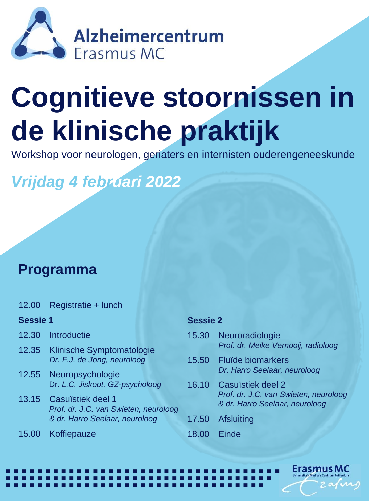

## **Cognitieve stoornissen in de klinische praktijk**

Workshop voor neurologen, geriaters en internisten ouderengeneeskunde

*Vrijdag 4 februari 2022*

## **Programma**

12.00 Registratie + lunch

#### **Sessie 1**

- 12.30 Introductie
- 12.35 Klinische Symptomatologie *Dr. F.J. de Jong, neuroloog*
- 12.55 Neuropsychologie Dr. *L.C. Jiskoot, GZ-psycholoog*
- 13.15 Casuïstiek deel 1 *Prof. dr. J.C. van Swieten, neuroloog & dr. Harro Seelaar, neuroloog*

a a a a a a a a a a a a a a a a a a a a a a a a a a a a a a a a a a a a a a a a a a a a a a a a a a a a a a a a a a a a a a a a a a a a a a a a a a a a a a a a a a a a a a a a a a a a a a a a a a a a a a

15.00 Koffiepauze

### **Sessie 2**

- 15.30 Neuroradiologie *Prof. dr. Meike Vernooij, radioloog*
- 15.50 Fluïde biomarkers *Dr. Harro Seelaar, neuroloog*
- 16.10 Casuïstiek deel 2 *Prof. dr. J.C. van Swieten, neuroloog & dr. Harro Seelaar, neuroloog*

Erasmus MC

- 17.50 Afsluiting
- 18.00 Einde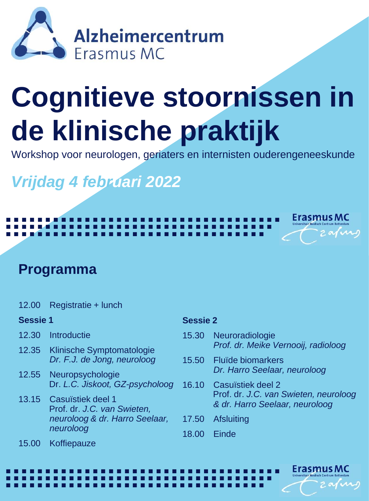

# **Cognitieve stoornissen in de klinische praktijk**

Workshop voor neurologen, geriaters en internisten ouderengeneeskunde

## *Vrijdag 4 februari 2022*

### **Programma**

12.00 Registratie + lunch

#### **Sessie 1**

- 12.30 Introductie
- 12.35 Klinische Symptomatologie *Dr. F.J. de Jong, neuroloog*
- 12.55 Neuropsychologie Dr. *L.C. Jiskoot, GZ-psycholoog*
- 13.15 Casuïstiek deel 1 Prof. dr. *J.C. van Swieten, neuroloog & dr. Harro Seelaar, neuroloog*

a a a a a a a a a a a a a a a a a a a a a a a a a a a a a a a a a a a a a a a a a a a a a a a a a a a a a a a a a a a a a a a a a a a a a a a a a a a a a a a a a a a a a a a a a a a a a a a a a a a a a a

a a a a a a a a a a a a a a a a a a a a a a a a a a a a a a a a a a a a a a a a a a a a a a a a a a a a a a a a a a a a a a a a a a a a a a a a a a a a a a a a a a a a a a a a a a a a a a a a a a a a a a

### **Sessie 2**

15.30 Neuroradiologie *Prof. dr. Meike Vernooij, radioloog*

**Erasmus MC** 

**Erasmus MC** 

- 15.50 Fluïde biomarkers *Dr. Harro Seelaar, neuroloog*
- 16.10 Casuïstiek deel 2 Prof. dr. *J.C. van Swieten, neuroloog & dr. Harro Seelaar, neuroloog*
- 17.50 Afsluiting
- 18.00 Einde

15.00 Koffiepauze